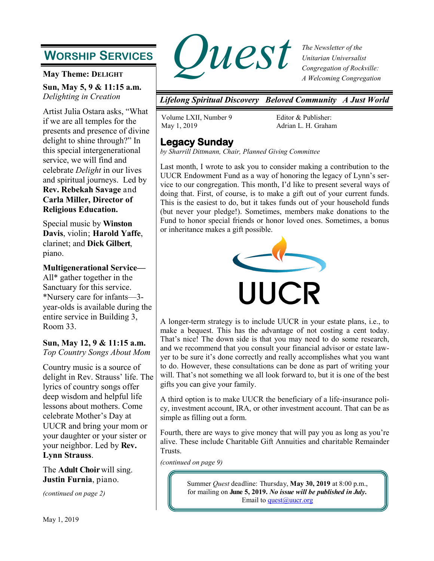# **WORSHIP SERVICES**

**May Theme: DELIGHT**

**Sun, May 5, 9 & 11:15 a.m.** *Delighting in Creation*

Artist Julia Ostara asks, "What if we are all temples for the presents and presence of divine delight to shine through?" In this special intergenerational service, we will find and celebrate *Delight* in our lives and spiritual journeys. Led by **Rev. Rebekah Savage** and **Carla Miller, Director of Religious Education.**

Special music by **Winston Davis**, violin; **Harold Yaffe**, clarinet; and **Dick Gilbert**, piano.

**Multigenerational Service—** All\* gather together in the Sanctuary for this service. \*Nursery care for infants—3 year-olds is available during the entire service in Building 3, Room 33.

### **Sun, May 12, 9 & 11:15 a.m.** *Top Country Songs About Mom*

Country music is a source of delight in Rev. Strauss' life. The lyrics of country songs offer deep wisdom and helpful life lessons about mothers. Come celebrate Mother's Day at UUCR and bring your mom or your daughter or your sister or your neighbor. Led by **Rev. Lynn Strauss**.

The **Adult Choir** will sing. **Justin Furnia**, piano.

*(continued on page 2)*



*The Newsletter of the Unitarian Universalist Congregation of Rockville: A Welcoming Congregation*

*Lifelong Spiritual Discovery Beloved Community A Just World*

Volume LXII, Number 9 May 1, 2019

Editor & Publisher: Adrian L. H. Graham

## **Legacy Sunday**

*by Sharrill Dittmann, Chair, Planned Giving Committee*

Last month, I wrote to ask you to consider making a contribution to the UUCR Endowment Fund as a way of honoring the legacy of Lynn's service to our congregation. This month, I'd like to present several ways of doing that. First, of course, is to make a gift out of your current funds. This is the easiest to do, but it takes funds out of your household funds (but never your pledge!). Sometimes, members make donations to the Fund to honor special friends or honor loved ones. Sometimes, a bonus or inheritance makes a gift possible.



A longer-term strategy is to include UUCR in your estate plans, i.e., to make a bequest. This has the advantage of not costing a cent today. That's nice! The down side is that you may need to do some research, and we recommend that you consult your financial advisor or estate lawyer to be sure it's done correctly and really accomplishes what you want to do. However, these consultations can be done as part of writing your will. That's not something we all look forward to, but it is one of the best gifts you can give your family.

A third option is to make UUCR the beneficiary of a life-insurance policy, investment account, IRA, or other investment account. That can be as simple as filling out a form.

Fourth, there are ways to give money that will pay you as long as you're alive. These include Charitable Gift Annuities and charitable Remainder Trusts.

*(continued on page 9)*

Summer *Quest* deadline: Thursday, **May 30, 2019** at 8:00 p.m., for mailing on **June 5, 2019.** *No issue will be published in July.* Email to [quest@uucr.org](mailto:quest@uucr.org?subject=re:%20September%20Quest%20submission)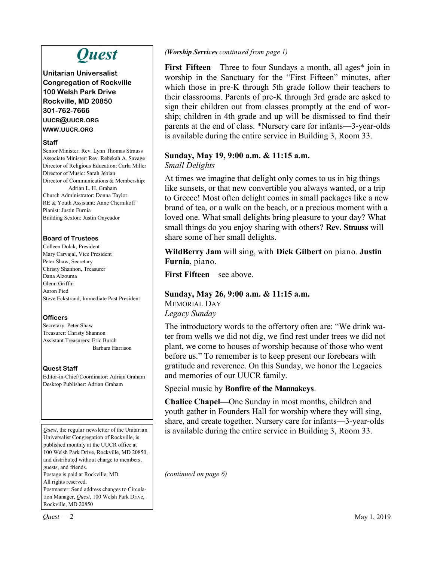# *Quest*

**Unitarian Universalist Congregation of Rockville 100 Welsh Park Drive Rockville, MD 20850 301-762-7666 UUCR@UUCR.ORG WWW.UUCR.ORG**

#### **Staff**

Senior Minister: Rev. Lynn Thomas Strauss Associate Minister: Rev. Rebekah A. Savage Director of Religious Education: Carla Miller Director of Music: Sarah Jebian Director of Communications & Membership: Adrian L. H. Graham Church Administrator: Donna Taylor RE & Youth Assistant: Anne Chernikoff Pianist: Justin Furnia Building Sexton: Justin Onyeador

### **Board of Trustees**

Colleen Dolak, President Mary Carvajal, Vice President Peter Shaw, Secretary Christy Shannon, Treasurer Dana Alzouma Glenn Griffin Aaron Pied Steve Eckstrand, Immediate Past President

### **Officers**

Secretary: Peter Shaw Treasurer: Christy Shannon Assistant Treasurers: Eric Burch Barbara Harrison

### **Quest Staff**

Editor-in-Chief/Coordinator: Adrian Graham Desktop Publisher: Adrian Graham

*Quest*, the regular newsletter of the Unitarian Universalist Congregation of Rockville, is published monthly at the UUCR office at 100 Welsh Park Drive, Rockville, MD 20850, and distributed without charge to members, guests, and friends. Postage is paid at Rockville, MD. All rights reserved. Postmaster: Send address changes to Circulation Manager, *Quest*, 100 Welsh Park Drive,

Rockville, MD 20850

### *(Worship Services continued from page 1)*

**First Fifteen**—Three to four Sundays a month, all ages\* join in worship in the Sanctuary for the "First Fifteen" minutes, after which those in pre-K through 5th grade follow their teachers to their classrooms. Parents of pre-K through 3rd grade are asked to sign their children out from classes promptly at the end of worship; children in 4th grade and up will be dismissed to find their parents at the end of class. \*Nursery care for infants—3-year-olds is available during the entire service in Building 3, Room 33.

#### **Sunday, May 19, 9:00 a.m. & 11:15 a.m.** *Small Delights*

At times we imagine that delight only comes to us in big things like sunsets, or that new convertible you always wanted, or a trip to Greece! Most often delight comes in small packages like a new brand of tea, or a walk on the beach, or a precious moment with a loved one. What small delights bring pleasure to your day? What small things do you enjoy sharing with others? **Rev. Strauss** will share some of her small delights.

**WildBerry Jam** will sing, with **Dick Gilbert** on piano. **Justin Furnia**, piano.

**First Fifteen**—see above.

## **Sunday, May 26, 9:00 a.m. & 11:15 a.m.**

MEMORIAL DAY *Legacy Sunday*

The introductory words to the offertory often are: "We drink water from wells we did not dig, we find rest under trees we did not plant, we come to houses of worship because of those who went before us." To remember is to keep present our forebears with gratitude and reverence. On this Sunday, we honor the Legacies and memories of our UUCR family.

### Special music by **Bonfire of the Mannakeys**.

**Chalice Chapel—**One Sunday in most months, children and youth gather in Founders Hall for worship where they will sing, share, and create together. Nursery care for infants—3-year-olds is available during the entire service in Building 3, Room 33.

*(continued on page 6)*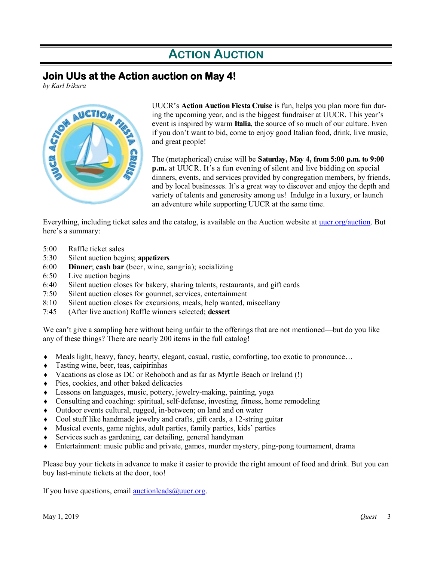# **ACTION AUCTION**

## **Join UUs at the Action auction on May 4!**

*by Karl Irikura*



UUCR's **Action Auction Fiesta Cruise** is fun, helps you plan more fun during the upcoming year, and is the biggest fundraiser at UUCR. This year's event is inspired by warm **Italia**, the source of so much of our culture. Even if you don't want to bid, come to enjoy good Italian food, drink, live music, and great people!

The (metaphorical) cruise will be **Saturday, May 4, from 5:00 p.m. to 9:00 p.m.** at UUCR. It's a fun evening of silent and live bidding on special dinners, events, and services provided by congregation members, by friends, and by local businesses. It's a great way to discover and enjoy the depth and variety of talents and generosity among us! Indulge in a luxury, or launch an adventure while supporting UUCR at the same time.

Everything, including ticket sales and the catalog, is available on the Auction website at [uucr.org/auction.](http://www.uucr.org/auction) But here's a summary:

- 5:00 Raffle ticket sales
- 5:30 Silent auction begins; **appetizers**
- 6:00 **Dinner**; **cash bar** (beer, wine, sangría); socializing
- 6:50 Live auction begins
- 6:40 Silent auction closes for bakery, sharing talents, restaurants, and gift cards
- 7:50 Silent auction closes for gourmet, services, entertainment
- 8:10 Silent auction closes for excursions, meals, help wanted, miscellany
- 7:45 (After live auction) Raffle winners selected; **dessert**

We can't give a sampling here without being unfair to the offerings that are not mentioned—but do you like any of these things? There are nearly 200 items in the full catalog!

- Meals light, heavy, fancy, hearty, elegant, casual, rustic, comforting, too exotic to pronounce…
- Tasting wine, beer, teas, caipirinhas
- Vacations as close as DC or Rehoboth and as far as Myrtle Beach or Ireland (!)
- Pies, cookies, and other baked delicacies
- Lessons on languages, music, pottery, jewelry-making, painting, yoga
- Consulting and coaching: spiritual, self-defense, investing, fitness, home remodeling
- Outdoor events cultural, rugged, in-between; on land and on water
- Cool stuff like handmade jewelry and crafts, gift cards, a 12-string guitar
- Musical events, game nights, adult parties, family parties, kids' parties
- $\bullet$  Services such as gardening, car detailing, general handyman
- Entertainment: music public and private, games, murder mystery, ping-pong tournament, drama

Please buy your tickets in advance to make it easier to provide the right amount of food and drink. But you can buy last-minute tickets at the door, too!

If you have questions, email  $\frac{\text{auctionleads}(a)\text{uucr.org}}{\text{a}$ .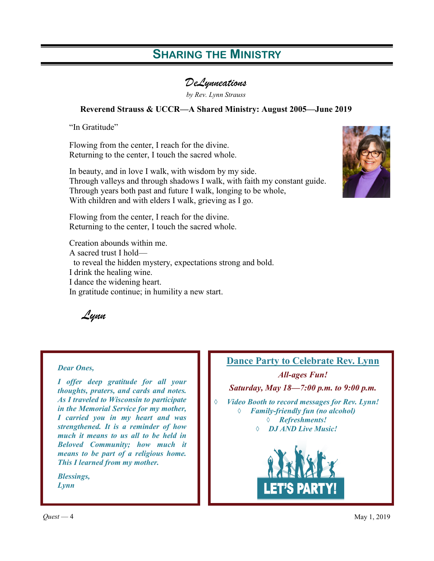# **SHARING THE MINISTRY**

*DeLynneations* 

*by Rev. Lynn Strauss* 

### **Reverend Strauss & UCCR—A Shared Ministry: August 2005—June 2019**

"In Gratitude"

Flowing from the center, I reach for the divine. Returning to the center, I touch the sacred whole.

In beauty, and in love I walk, with wisdom by my side. Through valleys and through shadows I walk, with faith my constant guide. Through years both past and future I walk, longing to be whole, With children and with elders I walk, grieving as I go.



Flowing from the center, I reach for the divine. Returning to the center, I touch the sacred whole.

Creation abounds within me. A sacred trust I hold to reveal the hidden mystery, expectations strong and bold. I drink the healing wine. I dance the widening heart. In gratitude continue; in humility a new start.

*Lynn*

#### *Dear Ones,*

*I offer deep gratitude for all your thoughts, praters, and cards and notes. As I traveled to Wisconsin to participate in the Memorial Service for my mother, I carried you in my heart and was strengthened. It is a reminder of how much it means to us all to be held in Beloved Community; how much it means to be part of a religious home. This I learned from my mother.*

*Blessings, Lynn*



*Quest* — 4 May 1, 2019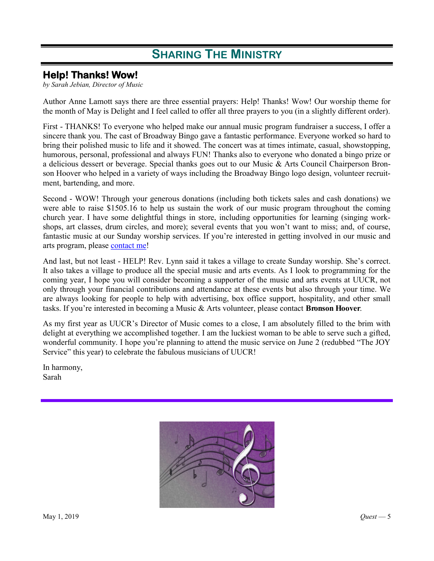# **SHARING THE MINISTRY**

## **Help! Thanks! Wow!**

*by Sarah Jebian, Director of Music*

Author Anne Lamott says there are three essential prayers: Help! Thanks! Wow! Our worship theme for the month of May is Delight and I feel called to offer all three prayers to you (in a slightly different order).

First - THANKS! To everyone who helped make our annual music program fundraiser a success, I offer a sincere thank you. The cast of Broadway Bingo gave a fantastic performance. Everyone worked so hard to bring their polished music to life and it showed. The concert was at times intimate, casual, showstopping, humorous, personal, professional and always FUN! Thanks also to everyone who donated a bingo prize or a delicious dessert or beverage. Special thanks goes out to our Music & Arts Council Chairperson Bronson Hoover who helped in a variety of ways including the Broadway Bingo logo design, volunteer recruitment, bartending, and more.

Second - WOW! Through your generous donations (including both tickets sales and cash donations) we were able to raise \$1505.16 to help us sustain the work of our music program throughout the coming church year. I have some delightful things in store, including opportunities for learning (singing workshops, art classes, drum circles, and more); several events that you won't want to miss; and, of course, fantastic music at our Sunday worship services. If you're interested in getting involved in our music and arts program, please [contact me!](mailto:sjebian@uucr.org)

And last, but not least - HELP! Rev. Lynn said it takes a village to create Sunday worship. She's correct. It also takes a village to produce all the special music and arts events. As I look to programming for the coming year, I hope you will consider becoming a supporter of the music and arts events at UUCR, not only through your financial contributions and attendance at these events but also through your time. We are always looking for people to help with advertising, box office support, hospitality, and other small tasks. If you're interested in becoming a Music & Arts volunteer, please contact **Bronson Hoover**.

As my first year as UUCR's Director of Music comes to a close, I am absolutely filled to the brim with delight at everything we accomplished together. I am the luckiest woman to be able to serve such a gifted, wonderful community. I hope you're planning to attend the music service on June 2 (redubbed "The JOY Service" this year) to celebrate the fabulous musicians of UUCR!

In harmony, Sarah

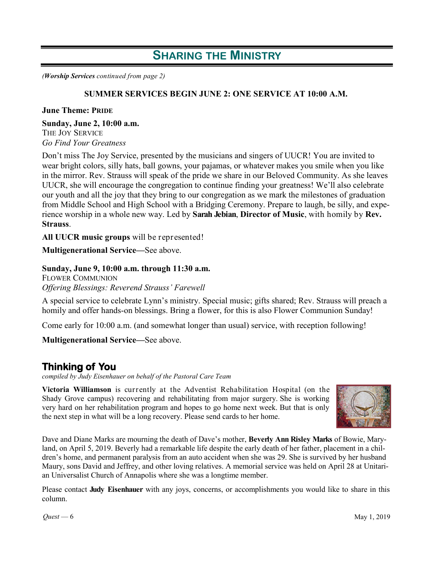## **SHARING THE MINISTRY**

*(Worship Services continued from page 2)*

### **SUMMER SERVICES BEGIN JUNE 2: ONE SERVICE AT 10:00 A.M.**

#### **June Theme: PRIDE**

**Sunday, June 2, 10:00 a.m.** 

THE JOY SERVICE *Go Find Your Greatness*

Don't miss The Joy Service, presented by the musicians and singers of UUCR! You are invited to wear bright colors, silly hats, ball gowns, your pajamas, or whatever makes you smile when you like in the mirror. Rev. Strauss will speak of the pride we share in our Beloved Community. As she leaves UUCR, she will encourage the congregation to continue finding your greatness! We'll also celebrate our youth and all the joy that they bring to our congregation as we mark the milestones of graduation from Middle School and High School with a Bridging Ceremony. Prepare to laugh, be silly, and experience worship in a whole new way. Led by **Sarah Jebian**, **Director of Music**, with homily by **Rev. Strauss**.

**All UUCR music groups** will be represented!

**Multigenerational Service—**See above.

#### **Sunday, June 9, 10:00 a.m. through 11:30 a.m.**

FLOWER COMMUNION *Offering Blessings: Reverend Strauss' Farewell*

A special service to celebrate Lynn's ministry. Special music; gifts shared; Rev. Strauss will preach a homily and offer hands-on blessings. Bring a flower, for this is also Flower Communion Sunday!

Come early for 10:00 a.m. (and somewhat longer than usual) service, with reception following!

**Multigenerational Service—**See above.

### **Thinking of You**

*compiled by Judy Eisenhauer on behalf of the Pastoral Care Team*

**Victoria Williamson** is currently at the Adventist Rehabilitation Hospital (on the Shady Grove campus) recovering and rehabilitating from major surgery. She is working very hard on her rehabilitation program and hopes to go home next week. But that is only the next step in what will be a long recovery. Please send cards to her home.



Dave and Diane Marks are mourning the death of Dave's mother, **Beverly Ann Risley Marks** of Bowie, Maryland, on April 5, 2019. Beverly had a remarkable life despite the early death of her father, placement in a children's home, and permanent paralysis from an auto accident when she was 29. She is survived by her husband Maury, sons David and Jeffrey, and other loving relatives. A memorial service was held on April 28 at Unitarian Universalist Church of Annapolis where she was a longtime member.

Please contact **Judy Eisenhauer** with any joys, concerns, or accomplishments you would like to share in this column.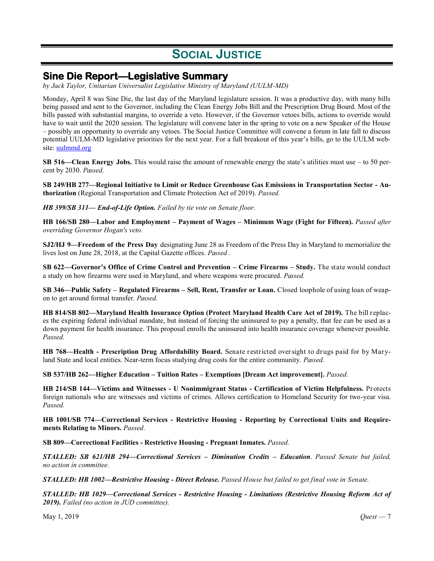# **SOCIAL JUSTICE**

## **Sine Die Report—Legislative Summary**

*by Jack Taylor, Unitarian Universalist Legislative Ministry of Maryland (UULM-MD)*

Monday, April 8 was Sine Die, the last day of the Maryland legislature session. It was a productive day, with many bills being passed and sent to the Governor, including the Clean Energy Jobs Bill and the Prescription Drug Board. Most of the bills passed with substantial margins, to override a veto. However, if the Governor vetoes bills, actions to override would have to wait until the 2020 session. The legislature will convene later in the spring to vote on a new Speaker of the House – possibly an opportunity to override any vetoes. The Social Justice Committee will convene a forum in late fall to discuss potential UULM-MD legislative priorities for the next year. For a full breakout of this year's bills, go to the UULM website: [uulmmd.org](https://www.uulmmd.org/)

**SB 516—Clean Energy Jobs.** This would raise the amount of renewable energy the state's utilities must use – to 50 percent by 2030. *Passed.*

**SB 249/HB 277—Regional Initiative to Limit or Reduce Greenhouse Gas Emissions in Transportation Sector - Authorization** (Regional Transportation and Climate Protection Act of 2019). *Passed.*

*HB 399/SB 311— End-of-Life Option. Failed by tie vote on Senate floor.*

**HB 166/SB 280—Labor and Employment – Payment of Wages – Minimum Wage (Fight for Fifteen).** *Passed after overriding Governor Hogan's veto.* 

**SJ2/HJ 9—Freedom of the Press Day** designating June 28 as Freedom of the Press Day in Maryland to memorialize the lives lost on June 28, 2018, at the Capital Gazette offices. *Passed .*

**SB 622—Governor's Office of Crime Control and Prevention – Crime Firearms – Study.** The state would conduct a study on how firearms were used in Maryland, and where weapons were procured. *Passed.*

**SB 346—Public Safety – Regulated Firearms – Sell, Rent, Transfer or Loan.** Closed loophole of using loan of weapon to get around formal transfer. *Passed.*

**HB 814/SB 802—Maryland Health Insurance Option (Protect Maryland Health Care Act of 2019).** The bill replaces the expiring federal individual mandate, but instead of forcing the uninsured to pay a penalty, that fee can be used as a down payment for health insurance. This proposal enrolls the uninsured into health insurance coverage whenever possible. *Passed.*

**HB 768—Health - Prescription Drug Affordability Board.** Senate restricted oversight to drugs paid for by Maryland State and local entities. Near-term focus studying drug costs for the entire community. *Passed.*

**SB 537/HB 262—Higher Education – Tuition Rates – Exemptions [Dream Act improvement].** *Passed.*

**HB 214/SB 144—Victims and Witnesses - U Nonimmigrant Status - Certification of Victim Helpfulness.** Protects foreign nationals who are witnesses and victims of crimes. Allows certification to Homeland Security for two-year visa. *Passed.*

**HB 1001/SB 774—Correctional Services - Restrictive Housing - Reporting by Correctional Units and Requirements Relating to Minors.** *Passed.*

**SB 809—Correctional Facilities - Restrictive Housing - Pregnant Inmates.** *Passed.* 

*STALLED: SB 621/HB 294—Correctional Services – Diminution Credits – Education*. *Passed Senate but failed, no action in committee.*

*STALLED: HB 1002—Restrictive Housing - Direct Release. Passed House but failed to get final vote in Senate.*

*STALLED: HB 1029—Correctional Services - Restrictive Housing - Limitations (Restrictive Housing Reform Act of 2019). Failed (no action in JUD committee).*

May 1, 2019 *Quest* — 7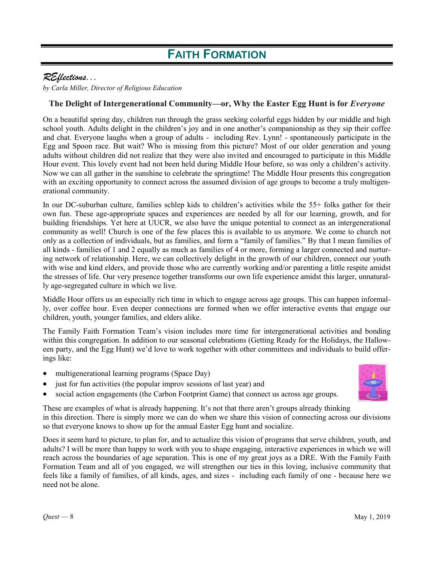# **FAITH FORMATION**

## *REflections...*

*by Carla Miller, Director of Religious Education* 

### The Delight of Intergenerational Community—or, Why the Easter Egg Hunt is for *Everyone*

On a beautiful spring day, children run through the grass seeking colorful eggs hidden by our middle and high school youth. Adults delight in the children's joy and in one another's companionship as they sip their coffee and chat. Everyone laughs when a group of adults - including Rev. Lynn! - spontaneously participate in the Egg and Spoon race. But wait? Who is missing from this picture? Most of our older generation and young adults without children did not realize that they were also invited and encouraged to participate in this Middle Hour event. This lovely event had not been held during Middle Hour before, so was only a children's activity. Now we can all gather in the sunshine to celebrate the springtime! The Middle Hour presents this congregation with an exciting opportunity to connect across the assumed division of age groups to become a truly multigenerational community.

In our DC-suburban culture, families schlep kids to children's activities while the 55+ folks gather for their own fun. These age-appropriate spaces and experiences are needed by all for our learning, growth, and for building friendships. Yet here at UUCR, we also have the unique potential to connect as an intergenerational community as well! Church is one of the few places this is available to us anymore. We come to church not only as a collection of individuals, but as families, and form a "family of families." By that I mean families of all kinds - families of 1 and 2 equally as much as families of 4 or more, forming a larger connected and nurturing network of relationship. Here, we can collectively delight in the growth of our children, connect our youth with wise and kind elders, and provide those who are currently working and/or parenting a little respite amidst the stresses of life. Our very presence together transforms our own life experience amidst this larger, unnaturally age-segregated culture in which we live.

Middle Hour offers us an especially rich time in which to engage across age groups. This can happen informally, over coffee hour. Even deeper connections are formed when we offer interactive events that engage our children, youth, younger families, and elders alike.

The Family Faith Formation Team's vision includes more time for intergenerational activities and bonding within this congregation. In addition to our seasonal celebrations (Getting Ready for the Holidays, the Halloween party, and the Egg Hunt) we'd love to work together with other committees and individuals to build offerings like:

- multigenerational learning programs (Space Day)
- just for fun activities (the popular improv sessions of last year) and
- social action engagements (the Carbon Footprint Game) that connect us across age groups.

These are examples of what is already happening. It's not that there aren't groups already thinking in this direction. There is simply more we can do when we share this vision of connecting across our divisions so that everyone knows to show up for the annual Easter Egg hunt and socialize.

Does it seem hard to picture, to plan for, and to actualize this vision of programs that serve children, youth, and adults? I will be more than happy to work with you to shape engaging, interactive experiences in which we will reach across the boundaries of age separation. This is one of my great joys as a DRE. With the Family Faith Formation Team and all of you engaged, we will strengthen our ties in this loving, inclusive community that feels like a family of families, of all kinds, ages, and sizes - including each family of one - because here we need not be alone.

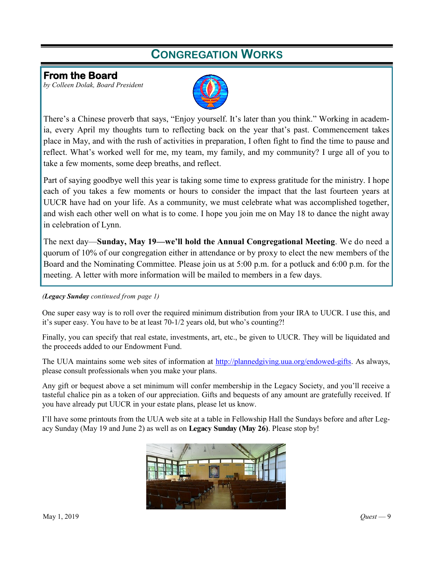# **CONGREGATION WORKS**

## **From the Board**

*by Colleen Dolak, Board President*



There's a Chinese proverb that says, "Enjoy yourself. It's later than you think." Working in academia, every April my thoughts turn to reflecting back on the year that's past. Commencement takes place in May, and with the rush of activities in preparation, I often fight to find the time to pause and reflect. What's worked well for me, my team, my family, and my community? I urge all of you to take a few moments, some deep breaths, and reflect.

Part of saying goodbye well this year is taking some time to express gratitude for the ministry. I hope each of you takes a few moments or hours to consider the impact that the last fourteen years at UUCR have had on your life. As a community, we must celebrate what was accomplished together, and wish each other well on what is to come. I hope you join me on May 18 to dance the night away in celebration of Lynn.

The next day—**Sunday, May 19—we'll hold the Annual Congregational Meeting**. We do need a quorum of 10% of our congregation either in attendance or by proxy to elect the new members of the Board and the Nominating Committee. Please join us at 5:00 p.m. for a potluck and 6:00 p.m. for the meeting. A letter with more information will be mailed to members in a few days.

#### *(Legacy Sunday continued from page 1)*

One super easy way is to roll over the required minimum distribution from your IRA to UUCR. I use this, and it's super easy. You have to be at least 70-1/2 years old, but who's counting?!

Finally, you can specify that real estate, investments, art, etc., be given to UUCR. They will be liquidated and the proceeds added to our Endowment Fund.

The UUA maintains some web sites of information at [http://plannedgiving.uua.org/endowed](http://plannedgiving.uua.org/endowed-gifts)-gifts. As always, please consult professionals when you make your plans.

Any gift or bequest above a set minimum will confer membership in the Legacy Society, and you'll receive a tasteful chalice pin as a token of our appreciation. Gifts and bequests of any amount are gratefully received. If you have already put UUCR in your estate plans, please let us know.

I'll have some printouts from the UUA web site at a table in Fellowship Hall the Sundays before and after Legacy Sunday (May 19 and June 2) as well as on **Legacy Sunday (May 26)**. Please stop by!